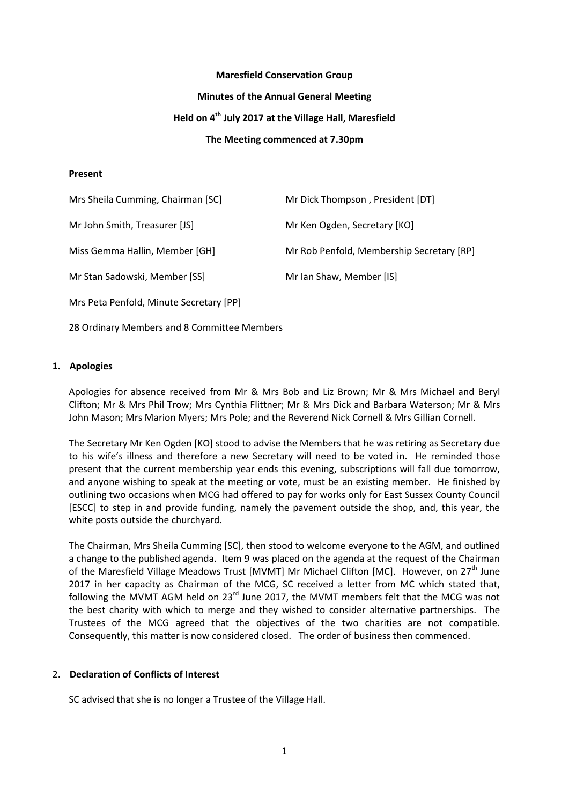#### **Maresfield Conservation Group**

#### **Minutes of the Annual General Meeting**

# **Held on 4 th July 2017 at the Village Hall, Maresfield**

#### **The Meeting commenced at 7.30pm**

#### **Present**

| Mrs Sheila Cumming, Chairman [SC]       | Mr Dick Thompson, President [DT]          |
|-----------------------------------------|-------------------------------------------|
| Mr John Smith, Treasurer [JS]           | Mr Ken Ogden, Secretary [KO]              |
| Miss Gemma Hallin, Member [GH]          | Mr Rob Penfold, Membership Secretary [RP] |
| Mr Stan Sadowski, Member [SS]           | Mr Ian Shaw, Member [IS]                  |
| Mrs Peta Penfold, Minute Secretary [PP] |                                           |

28 Ordinary Members and 8 Committee Members

## **1. Apologies**

Apologies for absence received from Mr & Mrs Bob and Liz Brown; Mr & Mrs Michael and Beryl Clifton; Mr & Mrs Phil Trow; Mrs Cynthia Flittner; Mr & Mrs Dick and Barbara Waterson; Mr & Mrs John Mason; Mrs Marion Myers; Mrs Pole; and the Reverend Nick Cornell & Mrs Gillian Cornell.

The Secretary Mr Ken Ogden [KO] stood to advise the Members that he was retiring as Secretary due to his wife's illness and therefore a new Secretary will need to be voted in. He reminded those present that the current membership year ends this evening, subscriptions will fall due tomorrow, and anyone wishing to speak at the meeting or vote, must be an existing member. He finished by outlining two occasions when MCG had offered to pay for works only for East Sussex County Council [ESCC] to step in and provide funding, namely the pavement outside the shop, and, this year, the white posts outside the churchyard.

The Chairman, Mrs Sheila Cumming [SC], then stood to welcome everyone to the AGM, and outlined a change to the published agenda. Item 9 was placed on the agenda at the request of the Chairman of the Maresfield Village Meadows Trust [MVMT] Mr Michael Clifton [MC]. However, on 27<sup>th</sup> June 2017 in her capacity as Chairman of the MCG, SC received a letter from MC which stated that, following the MVMT AGM held on  $23^{rd}$  June 2017, the MVMT members felt that the MCG was not the best charity with which to merge and they wished to consider alternative partnerships. The Trustees of the MCG agreed that the objectives of the two charities are not compatible. Consequently, this matter is now considered closed. The order of business then commenced.

## 2. **Declaration of Conflicts of Interest**

SC advised that she is no longer a Trustee of the Village Hall.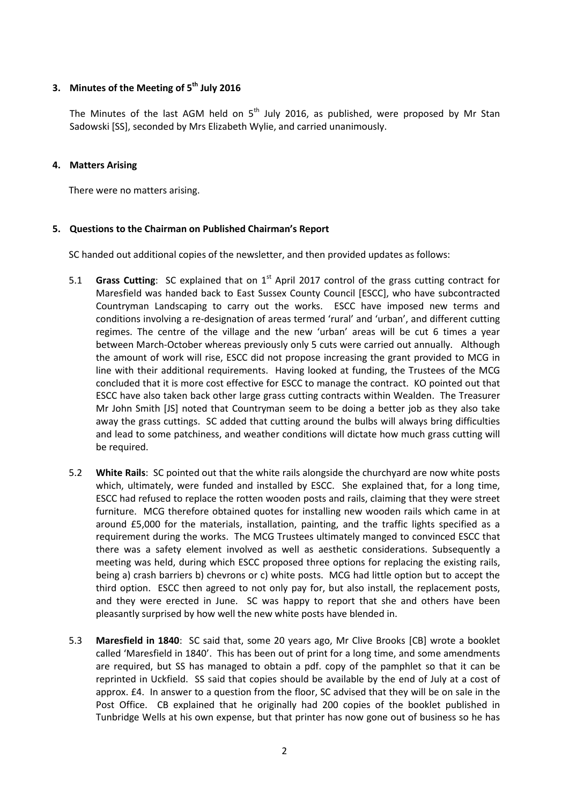# **3. Minutes of the Meeting of 5th July 2016**

The Minutes of the last AGM held on  $5<sup>th</sup>$  July 2016, as published, were proposed by Mr Stan Sadowski [SS], seconded by Mrs Elizabeth Wylie, and carried unanimously.

## **4. Matters Arising**

There were no matters arising.

# **5. Questions to the Chairman on Published Chairman's Report**

SC handed out additional copies of the newsletter, and then provided updates as follows:

- 5.1 **Grass Cutting**: SC explained that on 1<sup>st</sup> April 2017 control of the grass cutting contract for Maresfield was handed back to East Sussex County Council [ESCC], who have subcontracted Countryman Landscaping to carry out the works. ESCC have imposed new terms and conditions involving a re-designation of areas termed 'rural' and 'urban', and different cutting regimes. The centre of the village and the new 'urban' areas will be cut 6 times a year between March-October whereas previously only 5 cuts were carried out annually. Although the amount of work will rise, ESCC did not propose increasing the grant provided to MCG in line with their additional requirements. Having looked at funding, the Trustees of the MCG concluded that it is more cost effective for ESCC to manage the contract. KO pointed out that ESCC have also taken back other large grass cutting contracts within Wealden. The Treasurer Mr John Smith [JS] noted that Countryman seem to be doing a better job as they also take away the grass cuttings. SC added that cutting around the bulbs will always bring difficulties and lead to some patchiness, and weather conditions will dictate how much grass cutting will be required.
- 5.2 **White Rails**: SC pointed out that the white rails alongside the churchyard are now white posts which, ultimately, were funded and installed by ESCC. She explained that, for a long time, ESCC had refused to replace the rotten wooden posts and rails, claiming that they were street furniture. MCG therefore obtained quotes for installing new wooden rails which came in at around £5,000 for the materials, installation, painting, and the traffic lights specified as a requirement during the works. The MCG Trustees ultimately manged to convinced ESCC that there was a safety element involved as well as aesthetic considerations. Subsequently a meeting was held, during which ESCC proposed three options for replacing the existing rails, being a) crash barriers b) chevrons or c) white posts. MCG had little option but to accept the third option. ESCC then agreed to not only pay for, but also install, the replacement posts, and they were erected in June. SC was happy to report that she and others have been pleasantly surprised by how well the new white posts have blended in.
- 5.3 **Maresfield in 1840**: SC said that, some 20 years ago, Mr Clive Brooks [CB] wrote a booklet called 'Maresfield in 1840'. This has been out of print for a long time, and some amendments are required, but SS has managed to obtain a pdf. copy of the pamphlet so that it can be reprinted in Uckfield. SS said that copies should be available by the end of July at a cost of approx. £4. In answer to a question from the floor, SC advised that they will be on sale in the Post Office. CB explained that he originally had 200 copies of the booklet published in Tunbridge Wells at his own expense, but that printer has now gone out of business so he has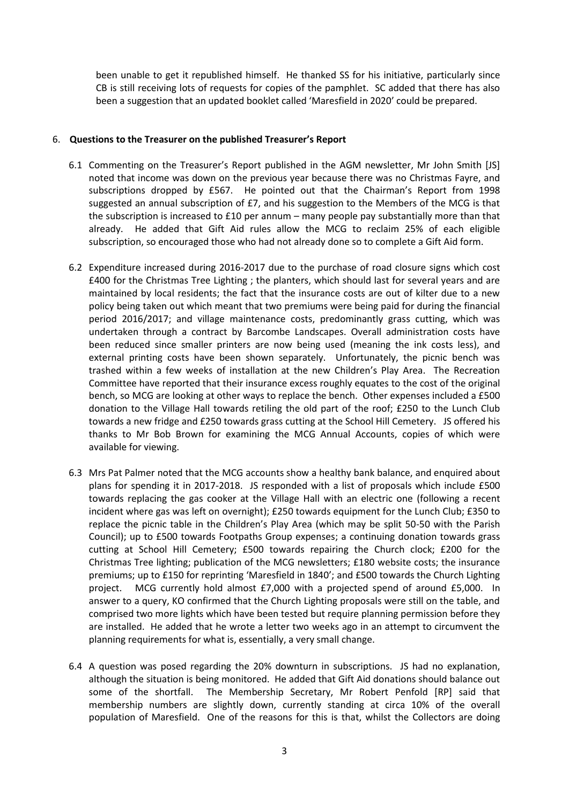been unable to get it republished himself. He thanked SS for his initiative, particularly since CB is still receiving lots of requests for copies of the pamphlet. SC added that there has also been a suggestion that an updated booklet called 'Maresfield in 2020' could be prepared.

## 6. **Questions to the Treasurer on the published Treasurer's Report**

- 6.1 Commenting on the Treasurer's Report published in the AGM newsletter, Mr John Smith [JS] noted that income was down on the previous year because there was no Christmas Fayre, and subscriptions dropped by £567. He pointed out that the Chairman's Report from 1998 suggested an annual subscription of  $E7$ , and his suggestion to the Members of the MCG is that the subscription is increased to  $£10$  per annum – many people pay substantially more than that already. He added that Gift Aid rules allow the MCG to reclaim 25% of each eligible subscription, so encouraged those who had not already done so to complete a Gift Aid form.
- 6.2 Expenditure increased during 2016-2017 due to the purchase of road closure signs which cost £400 for the Christmas Tree Lighting ; the planters, which should last for several years and are maintained by local residents; the fact that the insurance costs are out of kilter due to a new policy being taken out which meant that two premiums were being paid for during the financial period 2016/2017; and village maintenance costs, predominantly grass cutting, which was undertaken through a contract by Barcombe Landscapes. Overall administration costs have been reduced since smaller printers are now being used (meaning the ink costs less), and external printing costs have been shown separately. Unfortunately, the picnic bench was trashed within a few weeks of installation at the new Children's Play Area. The Recreation Committee have reported that their insurance excess roughly equates to the cost of the original bench, so MCG are looking at other ways to replace the bench. Other expenses included a £500 donation to the Village Hall towards retiling the old part of the roof; £250 to the Lunch Club towards a new fridge and £250 towards grass cutting at the School Hill Cemetery. JS offered his thanks to Mr Bob Brown for examining the MCG Annual Accounts, copies of which were available for viewing.
- 6.3 Mrs Pat Palmer noted that the MCG accounts show a healthy bank balance, and enquired about plans for spending it in 2017-2018. JS responded with a list of proposals which include £500 towards replacing the gas cooker at the Village Hall with an electric one (following a recent incident where gas was left on overnight); £250 towards equipment for the Lunch Club; £350 to replace the picnic table in the Children's Play Area (which may be split 50-50 with the Parish Council); up to £500 towards Footpaths Group expenses; a continuing donation towards grass cutting at School Hill Cemetery; £500 towards repairing the Church clock; £200 for the Christmas Tree lighting; publication of the MCG newsletters; £180 website costs; the insurance premiums; up to £150 for reprinting 'Maresfield in 1840'; and £500 towards the Church Lighting project. MCG currently hold almost £7,000 with a projected spend of around £5,000. In answer to a query, KO confirmed that the Church Lighting proposals were still on the table, and comprised two more lights which have been tested but require planning permission before they are installed. He added that he wrote a letter two weeks ago in an attempt to circumvent the planning requirements for what is, essentially, a very small change.
- 6.4 A question was posed regarding the 20% downturn in subscriptions. JS had no explanation, although the situation is being monitored. He added that Gift Aid donations should balance out some of the shortfall. The Membership Secretary, Mr Robert Penfold [RP] said that membership numbers are slightly down, currently standing at circa 10% of the overall population of Maresfield. One of the reasons for this is that, whilst the Collectors are doing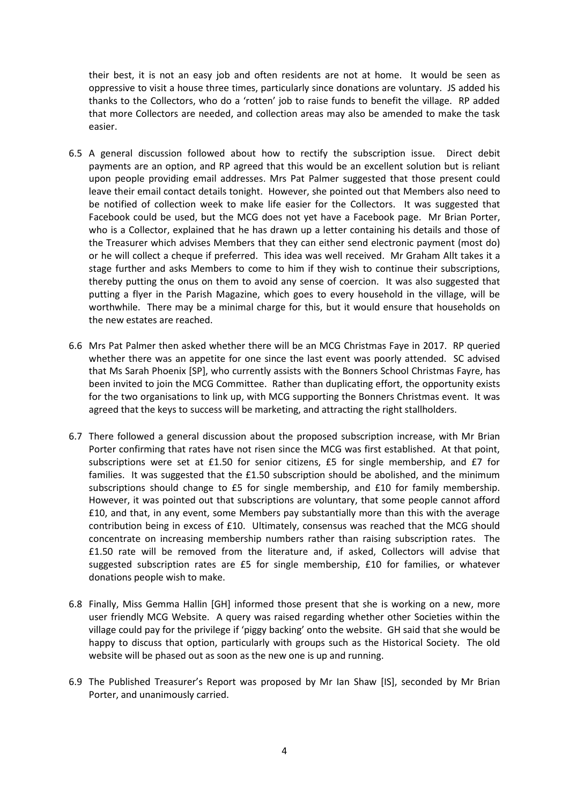their best, it is not an easy job and often residents are not at home. It would be seen as oppressive to visit a house three times, particularly since donations are voluntary. JS added his thanks to the Collectors, who do a 'rotten' job to raise funds to benefit the village. RP added that more Collectors are needed, and collection areas may also be amended to make the task easier.

- 6.5 A general discussion followed about how to rectify the subscription issue. Direct debit payments are an option, and RP agreed that this would be an excellent solution but is reliant upon people providing email addresses. Mrs Pat Palmer suggested that those present could leave their email contact details tonight. However, she pointed out that Members also need to be notified of collection week to make life easier for the Collectors. It was suggested that Facebook could be used, but the MCG does not yet have a Facebook page. Mr Brian Porter, who is a Collector, explained that he has drawn up a letter containing his details and those of the Treasurer which advises Members that they can either send electronic payment (most do) or he will collect a cheque if preferred. This idea was well received. Mr Graham Allt takes it a stage further and asks Members to come to him if they wish to continue their subscriptions, thereby putting the onus on them to avoid any sense of coercion. It was also suggested that putting a flyer in the Parish Magazine, which goes to every household in the village, will be worthwhile. There may be a minimal charge for this, but it would ensure that households on the new estates are reached.
- 6.6 Mrs Pat Palmer then asked whether there will be an MCG Christmas Faye in 2017. RP queried whether there was an appetite for one since the last event was poorly attended. SC advised that Ms Sarah Phoenix [SP], who currently assists with the Bonners School Christmas Fayre, has been invited to join the MCG Committee. Rather than duplicating effort, the opportunity exists for the two organisations to link up, with MCG supporting the Bonners Christmas event. It was agreed that the keys to success will be marketing, and attracting the right stallholders.
- 6.7 There followed a general discussion about the proposed subscription increase, with Mr Brian Porter confirming that rates have not risen since the MCG was first established. At that point, subscriptions were set at £1.50 for senior citizens, £5 for single membership, and £7 for families. It was suggested that the £1.50 subscription should be abolished, and the minimum subscriptions should change to £5 for single membership, and £10 for family membership. However, it was pointed out that subscriptions are voluntary, that some people cannot afford £10, and that, in any event, some Members pay substantially more than this with the average contribution being in excess of £10. Ultimately, consensus was reached that the MCG should concentrate on increasing membership numbers rather than raising subscription rates. The £1.50 rate will be removed from the literature and, if asked, Collectors will advise that suggested subscription rates are £5 for single membership, £10 for families, or whatever donations people wish to make.
- 6.8 Finally, Miss Gemma Hallin [GH] informed those present that she is working on a new, more user friendly MCG Website. A query was raised regarding whether other Societies within the village could pay for the privilege if 'piggy backing' onto the website. GH said that she would be happy to discuss that option, particularly with groups such as the Historical Society. The old website will be phased out as soon as the new one is up and running.
- 6.9 The Published Treasurer's Report was proposed by Mr Ian Shaw [IS], seconded by Mr Brian Porter, and unanimously carried.